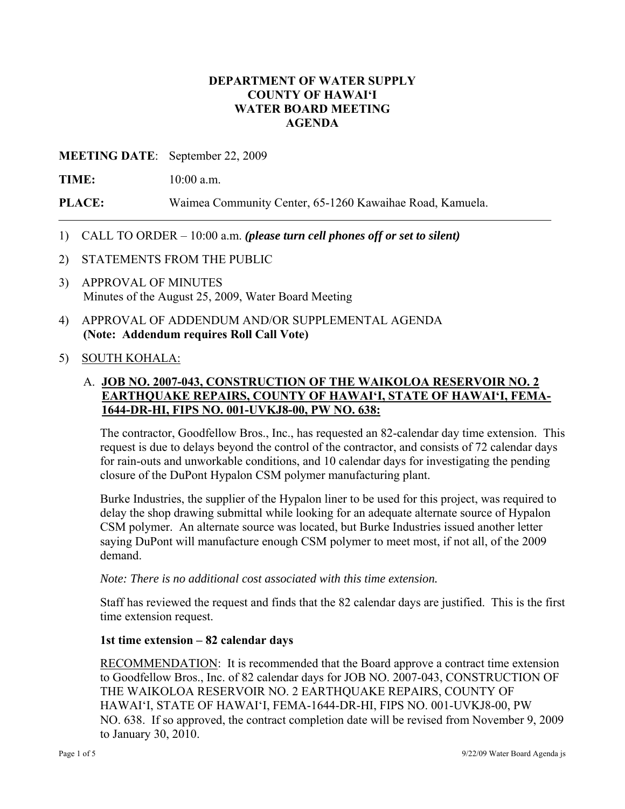### **DEPARTMENT OF WATER SUPPLY COUNTY OF HAWAI'I WATER BOARD MEETING AGENDA**

### **MEETING DATE**: September 22, 2009

**TIME:** 10:00 a.m.

**PLACE:** Waimea Community Center, 65-1260 Kawaihae Road, Kamuela.

- 1) CALL TO ORDER 10:00 a.m. *(please turn cell phones off or set to silent)*
- 2) STATEMENTS FROM THE PUBLIC
- 3) APPROVAL OF MINUTES Minutes of the August 25, 2009, Water Board Meeting
- 4) APPROVAL OF ADDENDUM AND/OR SUPPLEMENTAL AGENDA **(Note: Addendum requires Roll Call Vote)**
- 5) SOUTH KOHALA:

# A. **JOB NO. 2007-043, CONSTRUCTION OF THE WAIKOLOA RESERVOIR NO. 2 EARTHQUAKE REPAIRS, COUNTY OF HAWAI'I, STATE OF HAWAI'I, FEMA-1644-DR-HI, FIPS NO. 001-UVKJ8-00, PW NO. 638:**

The contractor, Goodfellow Bros., Inc., has requested an 82-calendar day time extension. This request is due to delays beyond the control of the contractor, and consists of 72 calendar days for rain-outs and unworkable conditions, and 10 calendar days for investigating the pending closure of the DuPont Hypalon CSM polymer manufacturing plant.

Burke Industries, the supplier of the Hypalon liner to be used for this project, was required to delay the shop drawing submittal while looking for an adequate alternate source of Hypalon CSM polymer. An alternate source was located, but Burke Industries issued another letter saying DuPont will manufacture enough CSM polymer to meet most, if not all, of the 2009 demand.

*Note: There is no additional cost associated with this time extension.* 

Staff has reviewed the request and finds that the 82 calendar days are justified. This is the first time extension request.

#### **1st time extension – 82 calendar days**

RECOMMENDATION: It is recommended that the Board approve a contract time extension to Goodfellow Bros., Inc. of 82 calendar days for JOB NO. 2007-043, CONSTRUCTION OF THE WAIKOLOA RESERVOIR NO. 2 EARTHQUAKE REPAIRS, COUNTY OF HAWAI'I, STATE OF HAWAI'I, FEMA-1644-DR-HI, FIPS NO. 001-UVKJ8-00, PW NO. 638. If so approved, the contract completion date will be revised from November 9, 2009 to January 30, 2010.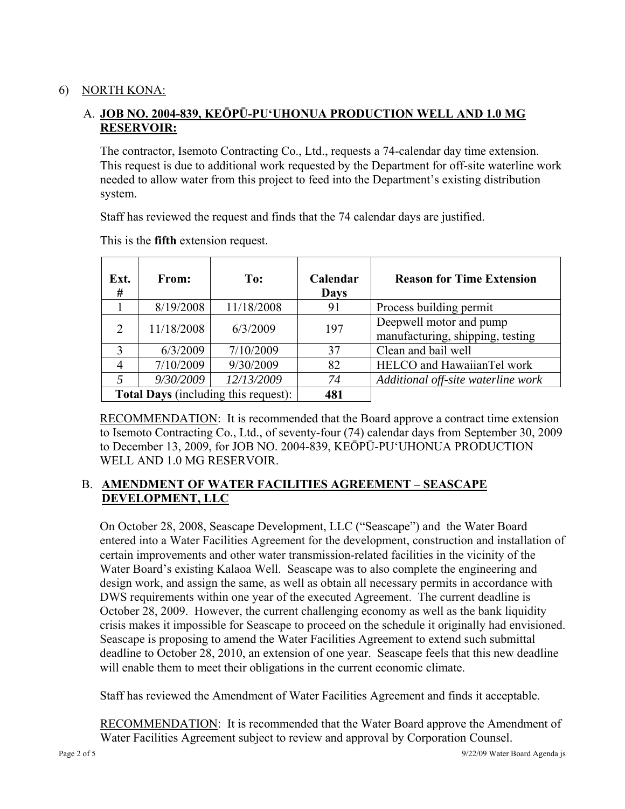# 6) NORTH KONA:

# A. **JOB NO. 2004-839, KEŌPŪ-PU'UHONUA PRODUCTION WELL AND 1.0 MG RESERVOIR:**

The contractor, Isemoto Contracting Co., Ltd., requests a 74-calendar day time extension. This request is due to additional work requested by the Department for off-site waterline work needed to allow water from this project to feed into the Department's existing distribution system.

Staff has reviewed the request and finds that the 74 calendar days are justified.

| Ext.<br>#                                   | <b>From:</b> | To:        | Calendar<br><b>Days</b> | <b>Reason for Time Extension</b>                            |
|---------------------------------------------|--------------|------------|-------------------------|-------------------------------------------------------------|
|                                             | 8/19/2008    | 11/18/2008 | 91                      | Process building permit                                     |
|                                             | 11/18/2008   | 6/3/2009   | 197                     | Deepwell motor and pump<br>manufacturing, shipping, testing |
| 3                                           | 6/3/2009     | 7/10/2009  | 37                      | Clean and bail well                                         |
|                                             | 7/10/2009    | 9/30/2009  | 82                      | HELCO and HawaiianTel work                                  |
|                                             | 9/30/2009    | 12/13/2009 | 74                      | Additional off-site waterline work                          |
| <b>Total Days</b> (including this request): |              |            | 481                     |                                                             |

This is the **fifth** extension request.

RECOMMENDATION: It is recommended that the Board approve a contract time extension to Isemoto Contracting Co., Ltd., of seventy-four (74) calendar days from September 30, 2009 to December 13, 2009, for JOB NO. 2004-839, KEŌPŪ-PU'UHONUA PRODUCTION WELL AND 1.0 MG RESERVOIR.

# B. **AMENDMENT OF WATER FACILITIES AGREEMENT – SEASCAPE DEVELOPMENT, LLC**

On October 28, 2008, Seascape Development, LLC ("Seascape") and the Water Board entered into a Water Facilities Agreement for the development, construction and installation of certain improvements and other water transmission-related facilities in the vicinity of the Water Board's existing Kalaoa Well. Seascape was to also complete the engineering and design work, and assign the same, as well as obtain all necessary permits in accordance with DWS requirements within one year of the executed Agreement. The current deadline is October 28, 2009. However, the current challenging economy as well as the bank liquidity crisis makes it impossible for Seascape to proceed on the schedule it originally had envisioned. Seascape is proposing to amend the Water Facilities Agreement to extend such submittal deadline to October 28, 2010, an extension of one year. Seascape feels that this new deadline will enable them to meet their obligations in the current economic climate.

Staff has reviewed the Amendment of Water Facilities Agreement and finds it acceptable.

RECOMMENDATION: It is recommended that the Water Board approve the Amendment of Water Facilities Agreement subject to review and approval by Corporation Counsel.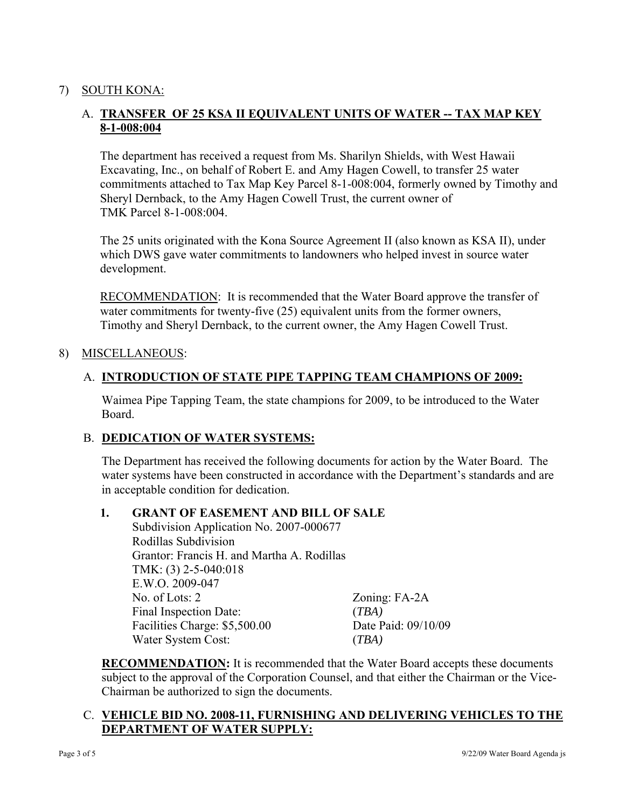# 7) SOUTH KONA:

# A. **TRANSFER OF 25 KSA II EQUIVALENT UNITS OF WATER -- TAX MAP KEY 8-1-008:004**

The department has received a request from Ms. Sharilyn Shields, with West Hawaii Excavating, Inc., on behalf of Robert E. and Amy Hagen Cowell, to transfer 25 water commitments attached to Tax Map Key Parcel 8-1-008:004, formerly owned by Timothy and Sheryl Dernback, to the Amy Hagen Cowell Trust, the current owner of TMK Parcel 8-1-008:004.

The 25 units originated with the Kona Source Agreement II (also known as KSA II), under which DWS gave water commitments to landowners who helped invest in source water development.

RECOMMENDATION: It is recommended that the Water Board approve the transfer of water commitments for twenty-five (25) equivalent units from the former owners, Timothy and Sheryl Dernback, to the current owner, the Amy Hagen Cowell Trust.

#### 8) MISCELLANEOUS:

### A. **INTRODUCTION OF STATE PIPE TAPPING TEAM CHAMPIONS OF 2009:**

Waimea Pipe Tapping Team, the state champions for 2009, to be introduced to the Water Board.

## B. **DEDICATION OF WATER SYSTEMS:**

The Department has received the following documents for action by the Water Board. The water systems have been constructed in accordance with the Department's standards and are in acceptable condition for dedication.

#### **1. GRANT OF EASEMENT AND BILL OF SALE**

Subdivision Application No. 2007-000677 Rodillas Subdivision Grantor: Francis H. and Martha A. Rodillas TMK: (3) 2-5-040:018 E.W.O. 2009-047 No. of Lots: 2 Zoning: FA-2A Final Inspection Date: (*TBA)* Facilities Charge: \$5,500.00 Date Paid: 09/10/09 Water System Cost: (*TBA)* 

**RECOMMENDATION:** It is recommended that the Water Board accepts these documents subject to the approval of the Corporation Counsel, and that either the Chairman or the Vice-Chairman be authorized to sign the documents.

# C. **VEHICLE BID NO. 2008-11, FURNISHING AND DELIVERING VEHICLES TO THE DEPARTMENT OF WATER SUPPLY:**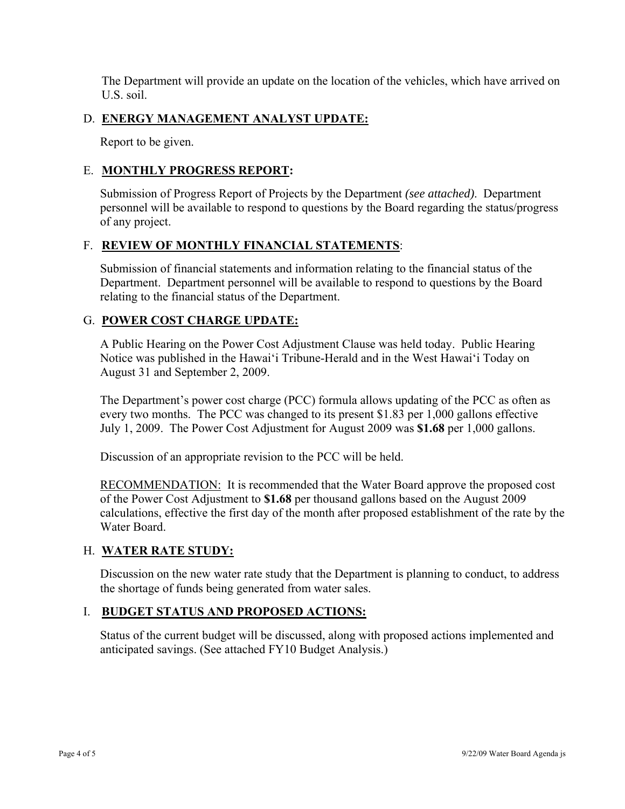The Department will provide an update on the location of the vehicles, which have arrived on U.S. soil.

### D. **ENERGY MANAGEMENT ANALYST UPDATE:**

Report to be given.

### E. **MONTHLY PROGRESS REPORT:**

Submission of Progress Report of Projects by the Department *(see attached)*. Department personnel will be available to respond to questions by the Board regarding the status/progress of any project.

### F. **REVIEW OF MONTHLY FINANCIAL STATEMENTS**:

Submission of financial statements and information relating to the financial status of the Department. Department personnel will be available to respond to questions by the Board relating to the financial status of the Department.

### G. **POWER COST CHARGE UPDATE:**

A Public Hearing on the Power Cost Adjustment Clause was held today. Public Hearing Notice was published in the Hawai'i Tribune-Herald and in the West Hawai'i Today on August 31 and September 2, 2009.

The Department's power cost charge (PCC) formula allows updating of the PCC as often as every two months. The PCC was changed to its present \$1.83 per 1,000 gallons effective July 1, 2009. The Power Cost Adjustment for August 2009 was **\$1.68** per 1,000 gallons.

Discussion of an appropriate revision to the PCC will be held.

RECOMMENDATION: It is recommended that the Water Board approve the proposed cost of the Power Cost Adjustment to **\$1.68** per thousand gallons based on the August 2009 calculations, effective the first day of the month after proposed establishment of the rate by the Water Board.

## H. **WATER RATE STUDY:**

Discussion on the new water rate study that the Department is planning to conduct, to address the shortage of funds being generated from water sales.

## I. **BUDGET STATUS AND PROPOSED ACTIONS:**

Status of the current budget will be discussed, along with proposed actions implemented and anticipated savings. (See attached FY10 Budget Analysis.)